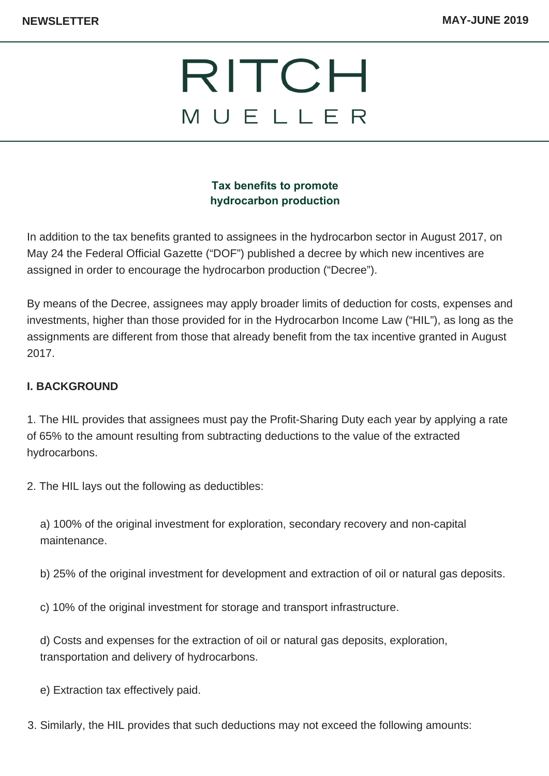# RITCH MUELLER

### **Tax benefits to promote hydrocarbon production**

In addition to the tax benefits granted to assignees in the hydrocarbon sector in August 2017, on May 24 the Federal Official Gazette ("DOF") published a decree by which new incentives are assigned in order to encourage the hydrocarbon production ("Decree").

By means of the Decree, assignees may apply broader limits of deduction for costs, expenses and investments, higher than those provided for in the Hydrocarbon Income Law ("HIL"), as long as the assignments are different from those that already benefit from the tax incentive granted in August 2017.

#### **I. BACKGROUND**

1. The HIL provides that assignees must pay the Profit-Sharing Duty each year by applying a rate of 65% to the amount resulting from subtracting deductions to the value of the extracted hydrocarbons.

2. The HIL lays out the following as deductibles:

a) 100% of the original investment for exploration, secondary recovery and non-capital maintenance.

b) 25% of the original investment for development and extraction of oil or natural gas deposits.

c) 10% of the original investment for storage and transport infrastructure.

d) Costs and expenses for the extraction of oil or natural gas deposits, exploration, transportation and delivery of hydrocarbons.

e) Extraction tax effectively paid.

3. Similarly, the HIL provides that such deductions may not exceed the following amounts: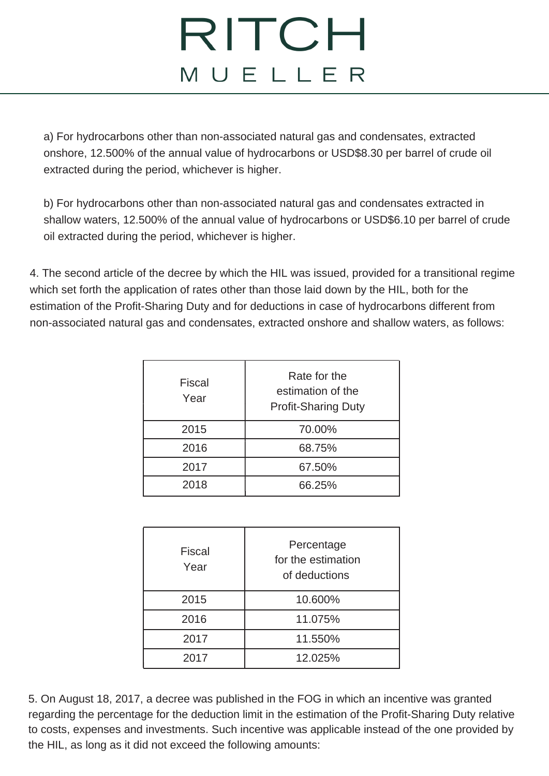# RITCH MUELLER

a) For hydrocarbons other than non-associated natural gas and condensates, extracted onshore, 12.500% of the annual value of hydrocarbons or USD\$8.30 per barrel of crude oil extracted during the period, whichever is higher.

b) For hydrocarbons other than non-associated natural gas and condensates extracted in shallow waters, 12.500% of the annual value of hydrocarbons or USD\$6.10 per barrel of crude oil extracted during the period, whichever is higher.

4. The second article of the decree by which the HIL was issued, provided for a transitional regime which set forth the application of rates other than those laid down by the HIL, both for the estimation of the Profit-Sharing Duty and for deductions in case of hydrocarbons different from non-associated natural gas and condensates, extracted onshore and shallow waters, as follows:

| <b>Fiscal</b><br>Year | Rate for the<br>estimation of the<br><b>Profit-Sharing Duty</b> |
|-----------------------|-----------------------------------------------------------------|
| 2015                  | 70.00%                                                          |
| 2016                  | 68.75%                                                          |
| 2017                  | 67.50%                                                          |
| 2018                  | 66.25%                                                          |

| <b>Fiscal</b><br>Year | Percentage<br>for the estimation<br>of deductions |
|-----------------------|---------------------------------------------------|
| 2015                  | 10.600%                                           |
| 2016                  | 11.075%                                           |
| 2017                  | 11.550%                                           |
| 2017                  | 12.025%                                           |

5. On August 18, 2017, a decree was published in the FOG in which an incentive was granted regarding the percentage for the deduction limit in the estimation of the Profit-Sharing Duty relative to costs, expenses and investments. Such incentive was applicable instead of the one provided by the HIL, as long as it did not exceed the following amounts: